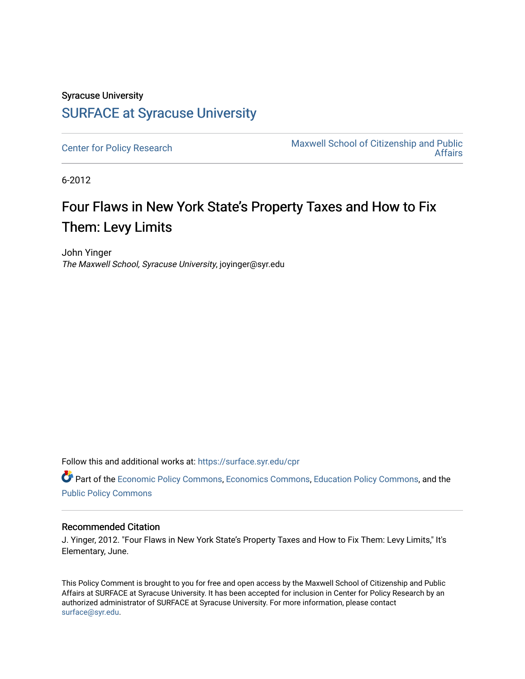## Syracuse University [SURFACE at Syracuse University](https://surface.syr.edu/)

[Center for Policy Research](https://surface.syr.edu/cpr) Maxwell School of Citizenship and Public [Affairs](https://surface.syr.edu/maxwell) 

6-2012

# Four Flaws in New York State's Property Taxes and How to Fix Them: Levy Limits

John Yinger The Maxwell School, Syracuse University, joyinger@syr.edu

Follow this and additional works at: [https://surface.syr.edu/cpr](https://surface.syr.edu/cpr?utm_source=surface.syr.edu%2Fcpr%2F326&utm_medium=PDF&utm_campaign=PDFCoverPages) 

Part of the [Economic Policy Commons](http://network.bepress.com/hgg/discipline/1025?utm_source=surface.syr.edu%2Fcpr%2F326&utm_medium=PDF&utm_campaign=PDFCoverPages), [Economics Commons,](http://network.bepress.com/hgg/discipline/340?utm_source=surface.syr.edu%2Fcpr%2F326&utm_medium=PDF&utm_campaign=PDFCoverPages) [Education Policy Commons](http://network.bepress.com/hgg/discipline/1026?utm_source=surface.syr.edu%2Fcpr%2F326&utm_medium=PDF&utm_campaign=PDFCoverPages), and the [Public Policy Commons](http://network.bepress.com/hgg/discipline/400?utm_source=surface.syr.edu%2Fcpr%2F326&utm_medium=PDF&utm_campaign=PDFCoverPages)

#### Recommended Citation

J. Yinger, 2012. "Four Flaws in New York State's Property Taxes and How to Fix Them: Levy Limits," It's Elementary, June.

This Policy Comment is brought to you for free and open access by the Maxwell School of Citizenship and Public Affairs at SURFACE at Syracuse University. It has been accepted for inclusion in Center for Policy Research by an authorized administrator of SURFACE at Syracuse University. For more information, please contact [surface@syr.edu.](mailto:surface@syr.edu)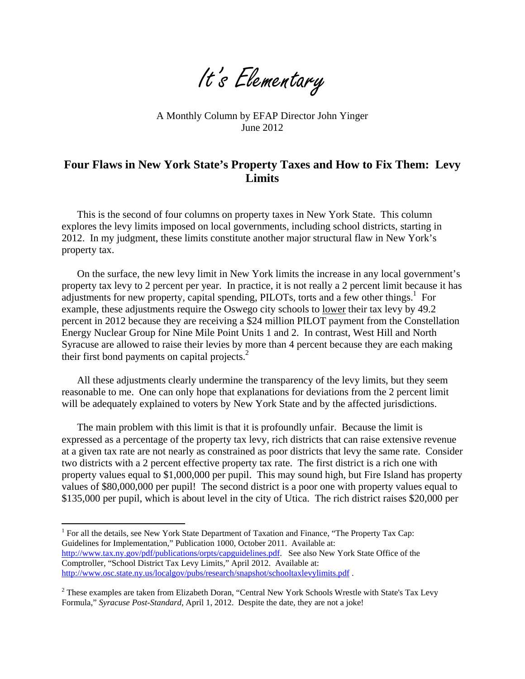It's Elementary

A Monthly Column by EFAP Director John Yinger June 2012

### **Four Flaws in New York State's Property Taxes and How to Fix Them: Levy Limits**

This is the second of four columns on property taxes in New York State. This column explores the levy limits imposed on local governments, including school districts, starting in 2012. In my judgment, these limits constitute another major structural flaw in New York's property tax.

On the surface, the new levy limit in New York limits the increase in any local government's property tax levy to 2 percent per year. In practice, it is not really a 2 percent limit because it has adjustments for new property, capital spending, PILOTs, torts and a few other things.<sup>1</sup> For example, these adjustments require the Oswego city schools to lower their tax levy by 49.2 percent in 2012 because they are receiving a \$24 million PILOT payment from the Constellation Energy Nuclear Group for Nine Mile Point Units 1 and 2. In contrast, West Hill and North Syracuse are allowed to raise their levies by more than 4 percent because they are each making their first bond payments on capital projects. $<sup>2</sup>$ </sup>

All these adjustments clearly undermine the transparency of the levy limits, but they seem reasonable to me. One can only hope that explanations for deviations from the 2 percent limit will be adequately explained to voters by New York State and by the affected jurisdictions.

The main problem with this limit is that it is profoundly unfair. Because the limit is expressed as a percentage of the property tax levy, rich districts that can raise extensive revenue at a given tax rate are not nearly as constrained as poor districts that levy the same rate. Consider two districts with a 2 percent effective property tax rate. The first district is a rich one with property values equal to \$1,000,000 per pupil. This may sound high, but Fire Island has property values of \$80,000,000 per pupil! The second district is a poor one with property values equal to \$135,000 per pupil, which is about level in the city of Utica. The rich district raises \$20,000 per

<sup>1</sup> For all the details, see New York State Department of Taxation and Finance, "The Property Tax Cap: Guidelines for Implementation," Publication 1000, October 2011. Available at: [http://www.tax.ny.gov/pdf/publications/orpts/capguidelines.pdf.](http://www.tax.ny.gov/pdf/publications/orpts/capguidelines.pdf) See also New York State Office of the Comptroller, "School District Tax Levy Limits," April 2012. Available at: <http://www.osc.state.ny.us/localgov/pubs/research/snapshot/schooltaxlevylimits.pdf>.

 $\overline{a}$ 

 $2$  These examples are taken from Elizabeth Doran, "Central New York Schools Wrestle with State's Tax Levy Formula," *Syracuse Post-Standard*, April 1, 2012. Despite the date, they are not a joke!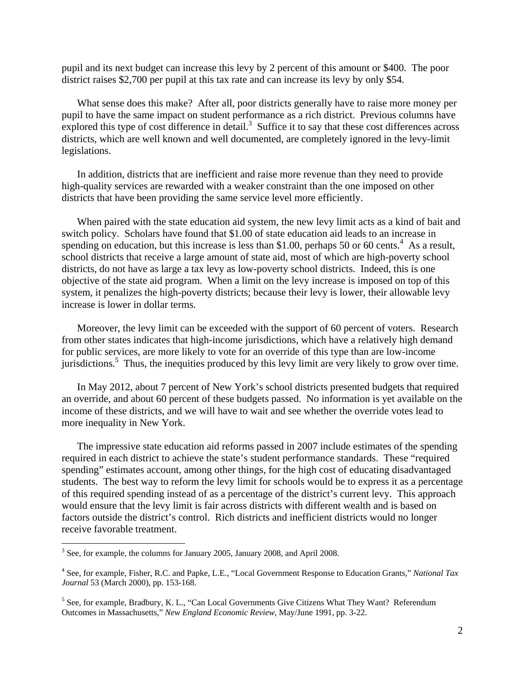pupil and its next budget can increase this levy by 2 percent of this amount or \$400. The poor district raises \$2,700 per pupil at this tax rate and can increase its levy by only \$54.

What sense does this make? After all, poor districts generally have to raise more money per pupil to have the same impact on student performance as a rich district. Previous columns have explored this type of cost difference in detail.<sup>3</sup> Suffice it to say that these cost differences across districts, which are well known and well documented, are completely ignored in the levy-limit legislations.

In addition, districts that are inefficient and raise more revenue than they need to provide high-quality services are rewarded with a weaker constraint than the one imposed on other districts that have been providing the same service level more efficiently.

When paired with the state education aid system, the new levy limit acts as a kind of bait and switch policy. Scholars have found that \$1.00 of state education aid leads to an increase in spending on education, but this increase is less than \$1.00, perhaps 50 or 60 cents.<sup>4</sup> As a result, school districts that receive a large amount of state aid, most of which are high-poverty school districts, do not have as large a tax levy as low-poverty school districts. Indeed, this is one objective of the state aid program. When a limit on the levy increase is imposed on top of this system, it penalizes the high-poverty districts; because their levy is lower, their allowable levy increase is lower in dollar terms.

Moreover, the levy limit can be exceeded with the support of 60 percent of voters. Research from other states indicates that high-income jurisdictions, which have a relatively high demand for public services, are more likely to vote for an override of this type than are low-income jurisdictions.<sup>5</sup> Thus, the inequities produced by this levy limit are very likely to grow over time.

In May 2012, about 7 percent of New York's school districts presented budgets that required an override, and about 60 percent of these budgets passed. No information is yet available on the income of these districts, and we will have to wait and see whether the override votes lead to more inequality in New York.

The impressive state education aid reforms passed in 2007 include estimates of the spending required in each district to achieve the state's student performance standards. These "required spending" estimates account, among other things, for the high cost of educating disadvantaged students. The best way to reform the levy limit for schools would be to express it as a percentage of this required spending instead of as a percentage of the district's current levy. This approach would ensure that the levy limit is fair across districts with different wealth and is based on factors outside the district's control. Rich districts and inefficient districts would no longer receive favorable treatment.

<u>.</u>

 $3$  See, for example, the columns for January 2005, January 2008, and April 2008.

<sup>4</sup> See, for example, Fisher, R.C. and Papke, L.E., "Local Government Response to Education Grants," *National Tax Journal* 53 (March 2000), pp. 153-168.

<sup>&</sup>lt;sup>5</sup> See, for example, Bradbury, K. L., "Can Local Governments Give Citizens What They Want? Referendum Outcomes in Massachusetts," *New England Economic Review*, May/June 1991, pp. 3-22.